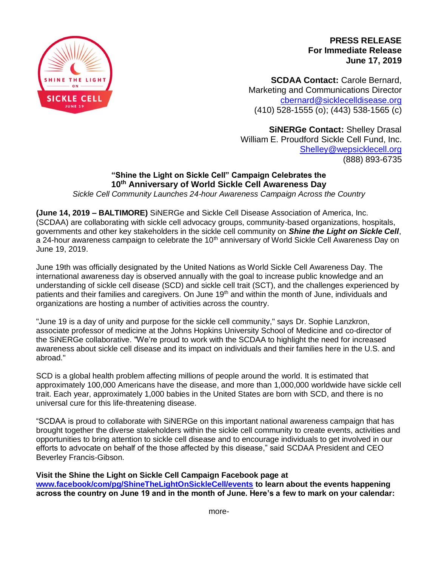

**PRESS RELEASE For Immediate Release June 17, 2019**

**SCDAA Contact:** Carole Bernard, Marketing and Communications Director [cbernard@sicklecelldisease.org](mailto:cbernard@sicklecelldisease.org) (410) 528-1555 (o); (443) 538-1565 (c)

**SiNERGe Contact:** Shelley Drasal William E. Proudford Sickle Cell Fund, Inc. [Shelley@wepsicklecell.org](mailto:Shelley@wepsicklecell.org) (888) 893-6735

## **"Shine the Light on Sickle Cell" Campaign Celebrates the 10th Anniversary of World Sickle Cell Awareness Day**

*Sickle Cell Community Launches 24-hour Awareness Campaign Across the Country*

**(June 14, 2019 – BALTIMORE)** SiNERGe and Sickle Cell Disease Association of America, Inc. (SCDAA) are collaborating with sickle cell advocacy groups, community-based organizations, hospitals, governments and other key stakeholders in the sickle cell community on *Shine the Light on Sickle Cell*, a 24-hour awareness campaign to celebrate the 10<sup>th</sup> anniversary of World Sickle Cell Awareness Day on June 19, 2019.

June 19th was officially designated by the United Nations as World Sickle Cell Awareness Day. The international awareness day is observed annually with the goal to increase public knowledge and an understanding of sickle cell disease (SCD) and sickle cell trait (SCT), and the challenges experienced by patients and their families and caregivers. On June 19<sup>th</sup> and within the month of June, individuals and organizations are hosting a number of activities across the country.

"June 19 is a day of unity and purpose for the sickle cell community," says Dr. Sophie Lanzkron, associate professor of medicine at the Johns Hopkins University School of Medicine and co-director of the SiNERGe collaborative. "We're proud to work with the SCDAA to highlight the need for increased awareness about sickle cell disease and its impact on individuals and their families here in the U.S. and abroad."

SCD is a global health problem affecting millions of people around the world. It is estimated that approximately 100,000 Americans have the disease, and more than 1,000,000 worldwide have sickle cell trait. Each year, approximately 1,000 babies in the United States are born with SCD, and there is no universal cure for this life-threatening disease.

"SCDAA is proud to collaborate with SiNERGe on this important national awareness campaign that has brought together the diverse stakeholders within the sickle cell community to create events, activities and opportunities to bring attention to sickle cell disease and to encourage individuals to get involved in our efforts to advocate on behalf of the those affected by this disease," said SCDAA President and CEO Beverley Francis-Gibson.

**Visit the Shine the Light on Sickle Cell Campaign Facebook page at [www.facebook/com/pg/ShineTheLightOnSickleCell/events](http://www.facebook/com/pg/ShineTheLightOnSickleCell/events) to learn about the events happening across the country on June 19 and in the month of June. Here's a few to mark on your calendar:**